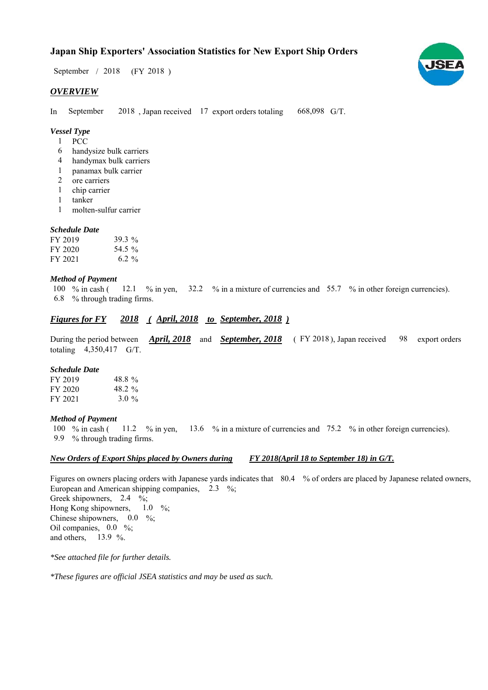# **Japan Ship Exporters' Association Statistics for New Export Ship Orders**

 $/ 2018$  (FY 2018) September / 2018

## *OVERVIEW*

In September 2018, Japan received 17 export orders totaling 668,098 G/T. September

# *Vessel Type*

- PCC 1
- handysize bulk carriers 6
- handymax bulk carriers 4
- panamax bulk carrier 1
- ore carriers 2
- chip carrier 1
- tanker 1
- molten-sulfur carrier 1

#### *Schedule Date*

| FY 2019 | 39.3 $\%$ |
|---------|-----------|
| FY 2020 | 54.5 %    |
| FY 2021 | $6.2 \%$  |

### *Method of Payment*

% in cash ( $\frac{12.1}{8}$  % in yen,  $\frac{32.2}{8}$  % in a mixture of currencies and 55.7 % in other foreign currencies). % through trading firms. 6.8 100  $%$  in cash (

# *<u>Figures for FY 2018 (April, 2018 to September, 2018)*</u>

During the period between *April, 2018* and *September, 2018* (FY 2018), Japan received 98 export orders totaling  $4,350,417$  G/T. 98

#### *Schedule Date*

| FY 2019 | 48.8%   |
|---------|---------|
| FY 2020 | 48.2 %  |
| FY 2021 | $3.0\%$ |

#### *Method of Payment*

% in cash ( $\frac{11.2}{8}$  % in yen,  $\frac{13.6}{8}$  % in a mixture of currencies and 75.2 % in other foreign currencies). % through trading firms. 9.9 100 % in cash (

#### *New Orders of Export Ships placed by Owners during FY 2018(April 18 to September 18) in G/T.*

Figures on owners placing orders with Japanese yards indicates that 80.4 % of orders are placed by Japanese related owners, European and American shipping companies,  $2.3\%$ ; Greek shipowners,  $2.4 \frac{\%}{\%}$ Hong Kong shipowners, Chinese shipowners,  $0.0\%$ ; Oil companies,  $0.0\%$ ; and others,  $13.9 \%$ .  $1.0\%$ 

*\*See attached file for further details.*

*\*These figures are official JSEA statistics and may be used as such.*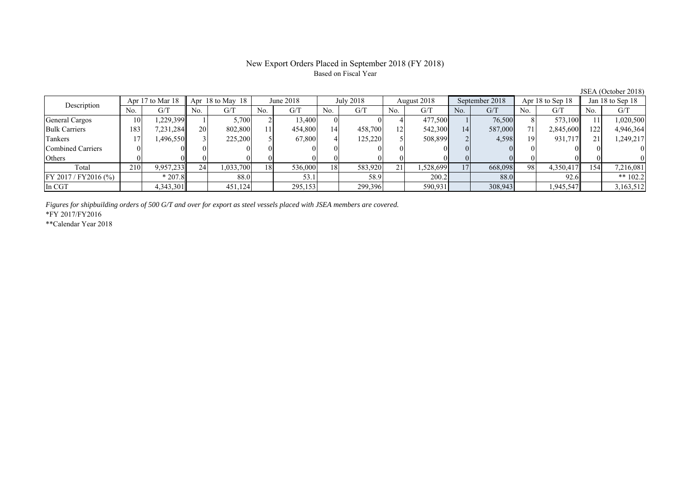#### New Export Orders Placed in September 2018 (FY 2018) Based on Fiscal Year

Total 210 9,957,233 24 1,033,700 18 536,000 18 583,920 21 1,528,699 17 668,098 98 4,350,417 154 7,216,081

FY 2017/FY2016 (%) \* 207.8 88.0 53.1 58.9 200.2 88.0 92.6 \*\* 102.2 In CGT | | 4,343,301|| | 451,124| | 299,153| | 299,396| | 590,931**| | 308,943| |** 1,945,547|| | 3,163,512

No. G/T No. G/T No. G/T No. G/T No. G/T No. G/T No. G/T No. G/T General Cargos ( 10 1,229,399 1 5,700 2 13,400 0 0 4 477,500 1 76,500 8 573,100 11 1,020,500 Bulk Carriers 183 7,231,284 20 802,800 11 454,800 14 458,700 12 542,300 14 587,000 71 2,845,600 122 4,946,364 Tankers | 17 | 1,496,550 || 3 | 225,200 | 5 | 67,800 | 4 | 125,220 | 5 | 508,899 | 2 | 4,598 | 19 | 931,717 || 21 | 1,249,217 Combined Carriers 0 0 0 0 0 0 0 0 0 0 0 0 0 0 0 0 Others | 0 | 0 || 0 || 0 || 0 || 0 || 0 || 0 || 0 || 0 || 0 | Apr 18 to May 18 June 2018 July 2018 Description Apr 17 to Mar 18 August 2018 September 2018 Apr 18 to Sep 18 Jan 18 to Sep 18

*Figures for shipbuilding orders of 500 G/T and over for export as steel vessels placed with JSEA members are covered.*

\*FY 2017/FY2016

\*\*Calendar Year 2018

JSEA (October 2018)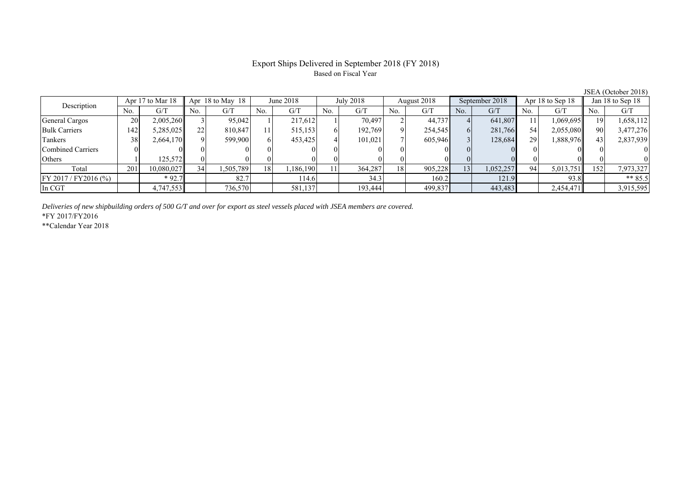# Export Ships Delivered in September 2018 (FY 2018) Based on Fiscal Year

| Apr 17 to Mar 18<br>Description |     |            | Apr $18$ to May $18$<br>June $2018$ |          | July 2018 |           | August 2018 |         | September 2018 |         | Apr 18 to Sep 18 |           | Jan 18 to Sep 18 |           |     |           |
|---------------------------------|-----|------------|-------------------------------------|----------|-----------|-----------|-------------|---------|----------------|---------|------------------|-----------|------------------|-----------|-----|-----------|
|                                 | No. | G/T        | No.                                 | G/T      | No.       | G/T       | No.         | G/T     | N <sub>0</sub> | G/T     | No.              | G/T       | No.              | G/T       | No. | G/T       |
| General Cargos                  | 20  | 2,005,260  |                                     | 95,042   |           | 217,612   |             | 70,497  |                | 44,737  |                  | 641,807   |                  | 1,069,695 |     | 1,658,112 |
| <b>Bulk Carriers</b>            | 142 | 5,285,025  | ົ<br>∠∠                             | 810,847  |           | 515,153   |             | 192,769 |                | 254,545 |                  | 281,766   | 54               | 2,055,080 | 90  | 3,477,276 |
| Tankers                         | 38  | 2,664,170  |                                     | 599,900  |           | 453,425   |             | 101,021 |                | 605,946 |                  | 128,684   | 29               | 1,888,976 | 43  | 2,837,939 |
| Combined Carriers               |     |            |                                     |          |           |           |             |         |                |         |                  |           |                  |           |     |           |
| Others                          |     | 125,572    |                                     |          |           |           |             |         |                |         |                  |           |                  |           |     |           |
| Total                           | 201 | 10,080,027 | 34                                  | .505,789 | 18        | 1,186,190 |             | 364.287 | 18             | 905,228 | 13 <sub>1</sub>  | 1,052,257 | 94               | 5,013,751 | 152 | 7,973,327 |
| $FY 2017 / FY 2016$ (%)         |     | $*92.7$    |                                     | 82.7     |           | 114.6     |             | 34.3    |                | 160.2   |                  | 121.9     |                  | 93.8      |     | ** $85.5$ |
| In CGT                          |     | 4,747,553  |                                     | 736,570  |           | 581,137   |             | 193,444 |                | 499,837 |                  | 443,483   |                  | 2,454,471 |     | 3,915,595 |

*Deliveries of new shipbuilding orders of 500 G/T and over for export as steel vessels placed with JSEA members are covered.*

\*FY 2017/FY2016

\*\*Calendar Year 2018

JSEA (October 2018)